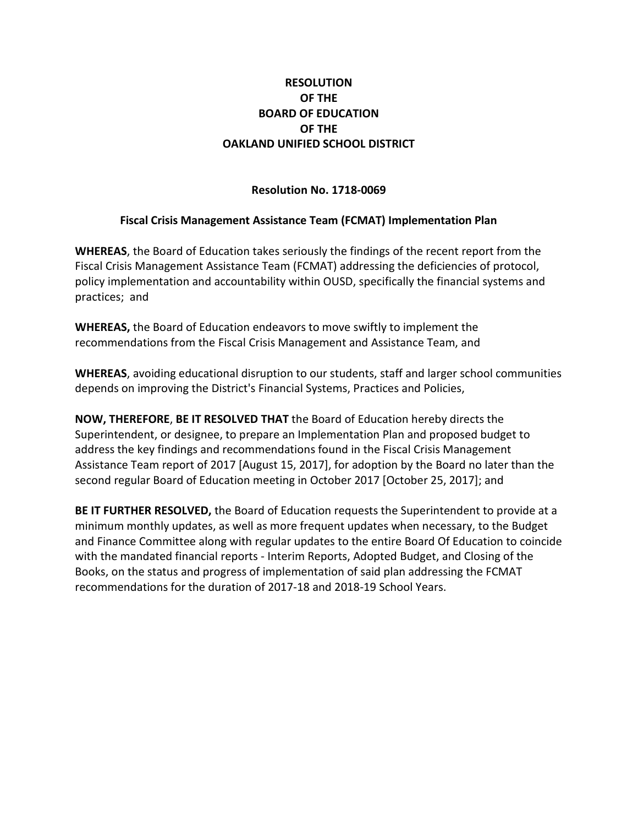## **RESOLUTION OF THE BOARD OF EDUCATION OF THE OAKLAND UNIFIED SCHOOL DISTRICT**

## **Resolution No. 1718-0069**

## **Fiscal Crisis Management Assistance Team (FCMAT) Implementation Plan**

**WHEREAS**, the Board of Education takes seriously the findings of the recent report from the Fiscal Crisis Management Assistance Team (FCMAT) addressing the deficiencies of protocol, policy implementation and accountability within OUSD, specifically the financial systems and practices; and

**WHEREAS,** the Board of Education endeavors to move swiftly to implement the recommendations from the Fiscal Crisis Management and Assistance Team, and

**WHEREAS**, avoiding educational disruption to our students, staff and larger school communities depends on improving the District's Financial Systems, Practices and Policies,

**NOW, THEREFORE**, **BE IT RESOLVED THAT** the Board of Education hereby directs the Superintendent, or designee, to prepare an Implementation Plan and proposed budget to address the key findings and recommendations found in the Fiscal Crisis Management Assistance Team report of 2017 [August 15, 2017], for adoption by the Board no later than the second regular Board of Education meeting in October 2017 [October 25, 2017]; and

**BE IT FURTHER RESOLVED,** the Board of Education requests the Superintendent to provide at a minimum monthly updates, as well as more frequent updates when necessary, to the Budget and Finance Committee along with regular updates to the entire Board Of Education to coincide with the mandated financial reports - Interim Reports, Adopted Budget, and Closing of the Books, on the status and progress of implementation of said plan addressing the FCMAT recommendations for the duration of 2017-18 and 2018-19 School Years.